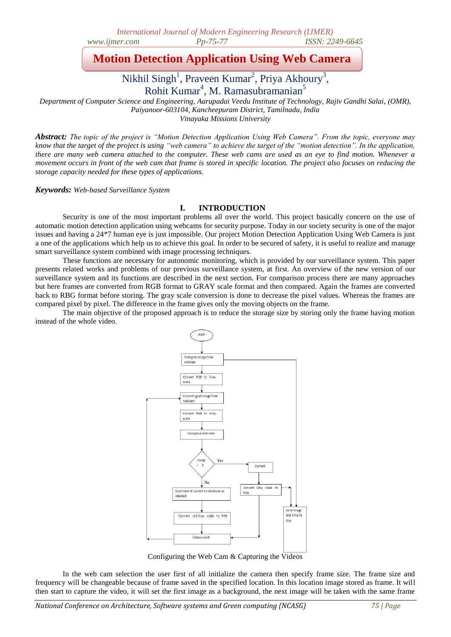# **Motion Detection Application Using Web Camera**

Nikhil Singh<sup>1</sup>, Praveen Kumar<sup>2</sup>, Priya Akhoury<sup>3</sup>, Rohit Kumar<sup>4</sup>, M. Ramasubramanian<sup>5</sup>

*Department of Computer Science and Engineering, Aarupadai Veedu Institute of Technology, Rajiv Gandhi Salai, (OMR), Paiyanoor-603104, Kancheepuram District, Tamilnadu, India Vinayaka Missions University*

*Abstract: The topic of the project is "Motion Detection Application Using Web Camera". From the topic, everyone may know that the target of the project is using "web camera" to achieve the target of the "motion detection". In the application, there are many web camera attached to the computer. These web cams are used as an eye to find motion. Whenever a movement occurs in front of the web cam that frame is stored in specific location. The project also focuses on reducing the storage capacity needed for these types of applications.*

*Keywords: Web-based Surveillance System*

# **I. INTRODUCTION**

Security is one of the most important problems all over the world. This project basically concern on the use of automatic motion detection application using webcams for security purpose. Today in our society security is one of the major issues and having a 24\*7 human eye is just impossible. Our project Motion Detection Application Using Web Camera is just a one of the applications which help us to achieve this goal. In order to be secured of safety, it is useful to realize and manage smart surveillance system combined with image processing techniques.

These functions are necessary for autonomic monitoring, which is provided by our surveillance system. This paper presents related works and problems of our previous surveillance system, at first. An overview of the new version of our surveillance system and its functions are described in the next section. For comparison process there are many approaches but here frames are converted from RGB format to GRAY scale format and then compared. Again the frames are converted back to RBG format before storing. The gray scale conversion is done to decrease the pixel values. Whereas the frames are compared pixel by pixel. The difference in the frame gives only the moving objects on the frame.

The main objective of the proposed approach is to reduce the storage size by storing only the frame having motion instead of the whole video.



Configuring the Web Cam & Capturing the Videos

In the web cam selection the user first of all initialize the camera then specify frame size. The frame size and frequency will be changeable because of frame saved in the specified location. In this location image stored as frame. It will then start to capture the video, it will set the first image as a background, the next image will be taken with the same frame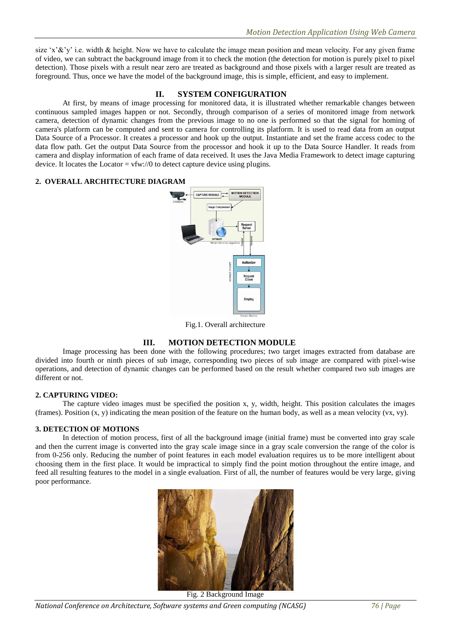size 'x' $\&$ 'y' i.e. width  $\&$  height. Now we have to calculate the image mean position and mean velocity. For any given frame of video, we can subtract the background image from it to check the motion (the detection for motion is purely pixel to pixel detection). Those pixels with a result near zero are treated as background and those pixels with a larger result are treated as foreground. Thus, once we have the model of the background image, this is simple, efficient, and easy to implement.

# **II. SYSTEM CONFIGURATION**

At first, by means of image processing for monitored data, it is illustrated whether remarkable changes between continuous sampled images happen or not. Secondly, through comparison of a series of monitored image from network camera, detection of dynamic changes from the previous image to no one is performed so that the signal for homing of camera's platform can be computed and sent to camera for controlling its platform. It is used to read data from an output Data Source of a Processor. It creates a processor and hook up the output. Instantiate and set the frame access codec to the data flow path. Get the output Data Source from the processor and hook it up to the Data Source Handler. It reads from camera and display information of each frame of data received. It uses the Java Media Framework to detect image capturing device. It locates the Locator =  $vfw://0$  to detect capture device using plugins.

#### **2. OVERALL ARCHITECTURE DIAGRAM**



Fig.1. Overall architecture

# **III. MOTION DETECTION MODULE**

Image processing has been done with the following procedures; two target images extracted from database are divided into fourth or ninth pieces of sub image, corresponding two pieces of sub image are compared with pixel-wise operations, and detection of dynamic changes can be performed based on the result whether compared two sub images are different or not.

#### **2. CAPTURING VIDEO:**

The capture video images must be specified the position x, y, width, height. This position calculates the images (frames). Position  $(x, y)$  indicating the mean position of the feature on the human body, as well as a mean velocity  $(vx, vy)$ .

#### **3. DETECTION OF MOTIONS**

In detection of motion process, first of all the background image (initial frame) must be converted into gray scale and then the current image is converted into the gray scale image since in a gray scale conversion the range of the color is from 0-256 only. Reducing the number of point features in each model evaluation requires us to be more intelligent about choosing them in the first place. It would be impractical to simply find the point motion throughout the entire image, and feed all resulting features to the model in a single evaluation. First of all, the number of features would be very large, giving poor performance.



*National Conference on Architecture, Software systems and Green computing (NCASG) 76 | Page*